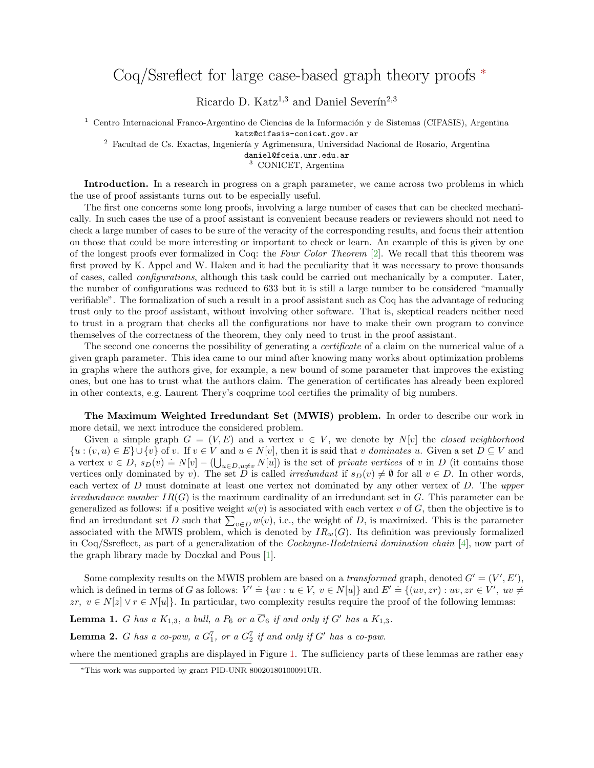## Coq/Ssreflect for large case-based graph theory proofs <sup>∗</sup>

Ricardo D. Katz<sup>1,3</sup> and Daniel Severín<sup>2,3</sup>

 $1$  Centro Internacional Franco-Argentino de Ciencias de la Información y de Sistemas (CIFASIS), Argentina katz@cifasis-conicet.gov.ar

<sup>2</sup> Facultad de Cs. Exactas, Ingeniería y Agrimensura, Universidad Nacional de Rosario, Argentina

daniel@fceia.unr.edu.ar

<sup>3</sup> CONICET, Argentina

Introduction. In a research in progress on a graph parameter, we came across two problems in which the use of proof assistants turns out to be especially useful.

The first one concerns some long proofs, involving a large number of cases that can be checked mechanically. In such cases the use of a proof assistant is convenient because readers or reviewers should not need to check a large number of cases to be sure of the veracity of the corresponding results, and focus their attention on those that could be more interesting or important to check or learn. An example of this is given by one of the longest proofs ever formalized in Coq: the Four Color Theorem [\[2\]](#page-1-0). We recall that this theorem was first proved by K. Appel and W. Haken and it had the peculiarity that it was necessary to prove thousands of cases, called configurations, although this task could be carried out mechanically by a computer. Later, the number of configurations was reduced to 633 but it is still a large number to be considered "manually verifiable". The formalization of such a result in a proof assistant such as Coq has the advantage of reducing trust only to the proof assistant, without involving other software. That is, skeptical readers neither need to trust in a program that checks all the configurations nor have to make their own program to convince themselves of the correctness of the theorem, they only need to trust in the proof assistant.

The second one concerns the possibility of generating a *certificate* of a claim on the numerical value of a given graph parameter. This idea came to our mind after knowing many works about optimization problems in graphs where the authors give, for example, a new bound of some parameter that improves the existing ones, but one has to trust what the authors claim. The generation of certificates has already been explored in other contexts, e.g. Laurent Thery's coqprime tool certifies the primality of big numbers.

The Maximum Weighted Irredundant Set (MWIS) problem. In order to describe our work in more detail, we next introduce the considered problem.

Given a simple graph  $G = (V, E)$  and a vertex  $v \in V$ , we denote by N[v] the closed neighborhood  $\{u : (v, u) \in E\} \cup \{v\}$  of v. If  $v \in V$  and  $u \in N[v]$ , then it is said that v dominates u. Given a set  $D \subseteq V$  and a vertex  $v \in D$ ,  $s_D(v) = N[v] - (\bigcup_{u \in D, u \neq v} N[u])$  is the set of *private vertices* of v in D (it contains those vertices only dominated by v). The set D is called *irredundant* if  $s_D(v) \neq \emptyset$  for all  $v \in D$ . In other words, each vertex of D must dominate at least one vertex not dominated by any other vertex of D. The upper irredundance number  $IR(G)$  is the maximum cardinality of an irredundant set in G. This parameter can be generalized as follows: if a positive weight  $w(v)$  is associated with each vertex v of G, then the objective is to find an irredundant set D such that  $\sum_{v \in D} w(v)$ , i.e., the weight of D, is maximized. This is the parameter associated with the MWIS problem, which is denoted by  $IR_w(G)$ . Its definition was previously formalized in Coq/Ssreflect, as part of a generalization of the Cockayne-Hedetniemi domination chain [\[4\]](#page-1-1), now part of the graph library made by Doczkal and Pous [\[1\]](#page-1-2).

Some complexity results on the MWIS problem are based on a *transformed* graph, denoted  $G' = (V', E'),$ which is defined in terms of G as follows:  $V' \doteq \{uv : u \in V, v \in N[u]\}$  and  $E' \doteq \{(uv, zr) : uv, zr \in V', uv \neq 0\}$  $zr, v \in N[z] \vee r \in N[u]$ . In particular, two complexity results require the proof of the following lemmas:

<span id="page-0-0"></span>**Lemma 1.** G has a  $K_{1,3}$ , a bull, a  $P_6$  or a  $\overline{C}_6$  if and only if G' has a  $K_{1,3}$ .

<span id="page-0-1"></span>**Lemma 2.** G has a co-paw, a  $G_1^7$ , or a  $G_2^7$  if and only if G' has a co-paw.

where the mentioned graphs are displayed in Figure [1.](#page-1-3) The sufficiency parts of these lemmas are rather easy

<sup>∗</sup>This work was supported by grant PID-UNR 80020180100091UR.